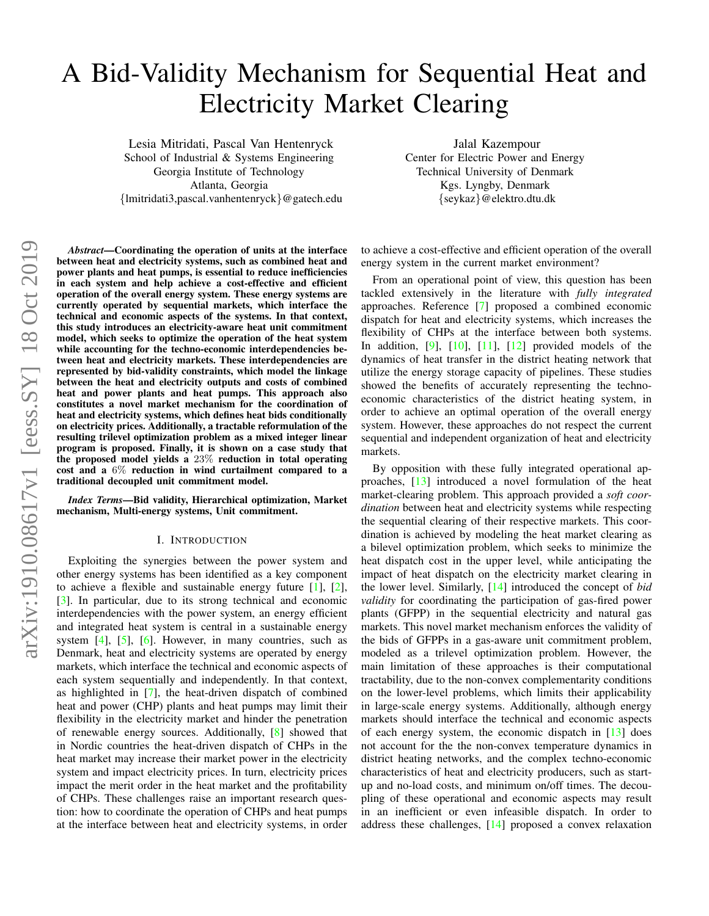# A Bid-Validity Mechanism for Sequential Heat and Electricity Market Clearing

Lesia Mitridati, Pascal Van Hentenryck School of Industrial & Systems Engineering Georgia Institute of Technology Atlanta, Georgia {lmitridati3,pascal.vanhentenryck}@gatech.edu

Jalal Kazempour Center for Electric Power and Energy Technical University of Denmark Kgs. Lyngby, Denmark {seykaz}@elektro.dtu.dk

*Abstract*—Coordinating the operation of units at the interface between heat and electricity systems, such as combined heat and power plants and heat pumps, is essential to reduce inefficiencies in each system and help achieve a cost-effective and efficient operation of the overall energy system. These energy systems are currently operated by sequential markets, which interface the technical and economic aspects of the systems. In that context, this study introduces an electricity-aware heat unit commitment model, which seeks to optimize the operation of the heat system while accounting for the techno-economic interdependencies between heat and electricity markets. These interdependencies are represented by bid-validity constraints, which model the linkage between the heat and electricity outputs and costs of combined heat and power plants and heat pumps. This approach also constitutes a novel market mechanism for the coordination of heat and electricity systems, which defines heat bids conditionally on electricity prices. Additionally, a tractable reformulation of the resulting trilevel optimization problem as a mixed integer linear program is proposed. Finally, it is shown on a case study that the proposed model yields a 23% reduction in total operating cost and a 6% reduction in wind curtailment compared to a traditional decoupled unit commitment model.

*Index Terms*—Bid validity, Hierarchical optimization, Market mechanism, Multi-energy systems, Unit commitment.

#### I. INTRODUCTION

Exploiting the synergies between the power system and other energy systems has been identified as a key component to achieve a flexible and sustainable energy future [\[1\]](#page-6-0), [\[2\]](#page-6-1), [\[3\]](#page-6-2). In particular, due to its strong technical and economic interdependencies with the power system, an energy efficient and integrated heat system is central in a sustainable energy system  $[4]$ ,  $[5]$ ,  $[6]$ . However, in many countries, such as Denmark, heat and electricity systems are operated by energy markets, which interface the technical and economic aspects of each system sequentially and independently. In that context, as highlighted in [\[7\]](#page-6-6), the heat-driven dispatch of combined heat and power (CHP) plants and heat pumps may limit their flexibility in the electricity market and hinder the penetration of renewable energy sources. Additionally, [\[8\]](#page-6-7) showed that in Nordic countries the heat-driven dispatch of CHPs in the heat market may increase their market power in the electricity system and impact electricity prices. In turn, electricity prices impact the merit order in the heat market and the profitability of CHPs. These challenges raise an important research question: how to coordinate the operation of CHPs and heat pumps at the interface between heat and electricity systems, in order

to achieve a cost-effective and efficient operation of the overall energy system in the current market environment?

From an operational point of view, this question has been tackled extensively in the literature with *fully integrated* approaches. Reference [\[7\]](#page-6-6) proposed a combined economic dispatch for heat and electricity systems, which increases the flexibility of CHPs at the interface between both systems. In addition, [\[9\]](#page-6-8), [\[10\]](#page-6-9), [\[11\]](#page-6-10), [\[12\]](#page-6-11) provided models of the dynamics of heat transfer in the district heating network that utilize the energy storage capacity of pipelines. These studies showed the benefits of accurately representing the technoeconomic characteristics of the district heating system, in order to achieve an optimal operation of the overall energy system. However, these approaches do not respect the current sequential and independent organization of heat and electricity markets.

By opposition with these fully integrated operational approaches, [\[13\]](#page-6-12) introduced a novel formulation of the heat market-clearing problem. This approach provided a *soft coordination* between heat and electricity systems while respecting the sequential clearing of their respective markets. This coordination is achieved by modeling the heat market clearing as a bilevel optimization problem, which seeks to minimize the heat dispatch cost in the upper level, while anticipating the impact of heat dispatch on the electricity market clearing in the lower level. Similarly, [\[14\]](#page-6-13) introduced the concept of *bid validity* for coordinating the participation of gas-fired power plants (GFPP) in the sequential electricity and natural gas markets. This novel market mechanism enforces the validity of the bids of GFPPs in a gas-aware unit commitment problem, modeled as a trilevel optimization problem. However, the main limitation of these approaches is their computational tractability, due to the non-convex complementarity conditions on the lower-level problems, which limits their applicability in large-scale energy systems. Additionally, although energy markets should interface the technical and economic aspects of each energy system, the economic dispatch in [\[13\]](#page-6-12) does not account for the the non-convex temperature dynamics in district heating networks, and the complex techno-economic characteristics of heat and electricity producers, such as startup and no-load costs, and minimum on/off times. The decoupling of these operational and economic aspects may result in an inefficient or even infeasible dispatch. In order to address these challenges, [\[14\]](#page-6-13) proposed a convex relaxation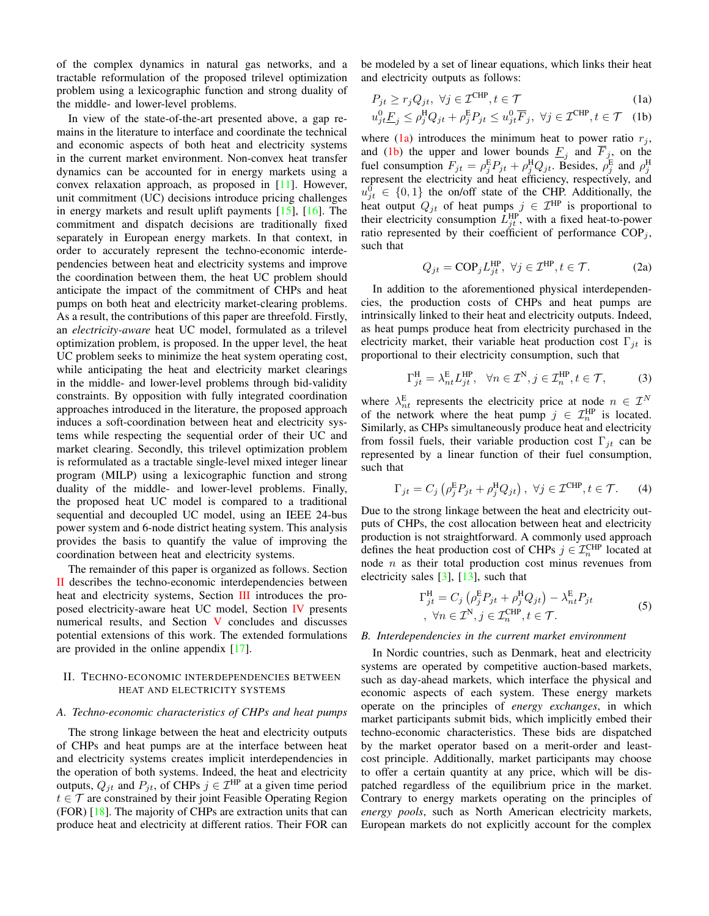of the complex dynamics in natural gas networks, and a tractable reformulation of the proposed trilevel optimization problem using a lexicographic function and strong duality of the middle- and lower-level problems.

In view of the state-of-the-art presented above, a gap remains in the literature to interface and coordinate the technical and economic aspects of both heat and electricity systems in the current market environment. Non-convex heat transfer dynamics can be accounted for in energy markets using a convex relaxation approach, as proposed in [\[11\]](#page-6-10). However, unit commitment (UC) decisions introduce pricing challenges in energy markets and result uplift payments [\[15\]](#page-6-14), [\[16\]](#page-6-15). The commitment and dispatch decisions are traditionally fixed separately in European energy markets. In that context, in order to accurately represent the techno-economic interdependencies between heat and electricity systems and improve the coordination between them, the heat UC problem should anticipate the impact of the commitment of CHPs and heat pumps on both heat and electricity market-clearing problems. As a result, the contributions of this paper are threefold. Firstly, an *electricity-aware* heat UC model, formulated as a trilevel optimization problem, is proposed. In the upper level, the heat UC problem seeks to minimize the heat system operating cost, while anticipating the heat and electricity market clearings in the middle- and lower-level problems through bid-validity constraints. By opposition with fully integrated coordination approaches introduced in the literature, the proposed approach induces a soft-coordination between heat and electricity systems while respecting the sequential order of their UC and market clearing. Secondly, this trilevel optimization problem is reformulated as a tractable single-level mixed integer linear program (MILP) using a lexicographic function and strong duality of the middle- and lower-level problems. Finally, the proposed heat UC model is compared to a traditional sequential and decoupled UC model, using an IEEE 24-bus power system and 6-node district heating system. This analysis provides the basis to quantify the value of improving the coordination between heat and electricity systems.

The remainder of this paper is organized as follows. Section [II](#page-1-0) describes the techno-economic interdependencies between heat and electricity systems, Section [III](#page-2-0) introduces the proposed electricity-aware heat UC model, Section [IV](#page-4-0) presents numerical results, and Section [V](#page-5-0) concludes and discusses potential extensions of this work. The extended formulations are provided in the online appendix [\[17\]](#page-6-16).

## <span id="page-1-0"></span>II. TECHNO-ECONOMIC INTERDEPENDENCIES BETWEEN HEAT AND ELECTRICITY SYSTEMS

#### *A. Techno-economic characteristics of CHPs and heat pumps*

The strong linkage between the heat and electricity outputs of CHPs and heat pumps are at the interface between heat and electricity systems creates implicit interdependencies in the operation of both systems. Indeed, the heat and electricity outputs,  $Q_{jt}$  and  $P_{jt}$ , of CHPs  $j \in \mathcal{I}^{\text{HP}}$  at a given time period  $t \in \mathcal{T}$  are constrained by their joint Feasible Operating Region (FOR) [\[18\]](#page-6-17). The majority of CHPs are extraction units that can produce heat and electricity at different ratios. Their FOR can be modeled by a set of linear equations, which links their heat and electricity outputs as follows:

<span id="page-1-2"></span><span id="page-1-1"></span>
$$
P_{jt} \ge r_j Q_{jt}, \ \forall j \in \mathcal{I}^{\text{CHP}}, t \in \mathcal{T}
$$
\n(1a)

$$
u_{jt}^{0} \underline{F}_j \le \rho_j^{\text{H}} Q_{jt} + \rho_j^{\text{E}} P_{jt} \le u_{jt}^{0} \overline{F}_j, \ \forall j \in \mathcal{I}^{\text{CHP}}, t \in \mathcal{T} \quad (1b)
$$

where [\(1a\)](#page-1-1) introduces the minimum heat to power ratio  $r_j$ , and [\(1b\)](#page-1-2) the upper and lower bounds  $E_j$  and  $F_j$ , on the fuel consumption  $F_{jt} = \rho_j^E P_{jt} + \rho_j^H Q_{jt}$ . Besides,  $\rho_j^E$  and  $\rho_j^H$  represent the electricity and heat efficiency, respectively, and  $u_{jt}^0 \in \{0,1\}$  the on/off state of the CHP. Additionally, the heat output  $Q_{jt}$  of heat pumps  $j \in \mathcal{I}^{\text{HP}}$  is proportional to their electricity consumption  $L_{jt}^{\text{HP}}$ , with a fixed heat-to-power ratio represented by their coefficient of performance  $COP_i$ , such that

$$
Q_{jt} = \text{COP}_j L_{jt}^{\text{HP}}, \ \forall j \in \mathcal{I}^{\text{HP}}, t \in \mathcal{T}.
$$
 (2a)

In addition to the aforementioned physical interdependencies, the production costs of CHPs and heat pumps are intrinsically linked to their heat and electricity outputs. Indeed, as heat pumps produce heat from electricity purchased in the electricity market, their variable heat production cost  $\Gamma_{it}$  is proportional to their electricity consumption, such that

$$
\Gamma_{jt}^{\rm H} = \lambda_{nt}^{\rm E} L_{jt}^{\rm HP}, \quad \forall n \in \mathcal{I}^{\rm N}, j \in \mathcal{I}_n^{\rm HP}, t \in \mathcal{T}, \tag{3}
$$

where  $\lambda_{nt}^{\text{E}}$  represents the electricity price at node  $n \in \mathcal{I}^N$ of the network where the heat pump  $j \in \mathcal{I}_n^{\text{HP}}$  is located. Similarly, as CHPs simultaneously produce heat and electricity from fossil fuels, their variable production cost  $\Gamma_{it}$  can be represented by a linear function of their fuel consumption, such that

$$
\Gamma_{jt} = C_j \left( \rho_j^{\mathcal{E}} P_{jt} + \rho_j^{\mathcal{H}} Q_{jt} \right), \ \forall j \in \mathcal{I}^{\text{CHP}}, t \in \mathcal{T}.
$$
 (4)

Due to the strong linkage between the heat and electricity outputs of CHPs, the cost allocation between heat and electricity production is not straightforward. A commonly used approach defines the heat production cost of CHPs  $j \in \mathcal{I}_n^{\text{CHP}}$  located at node *n* as their total production cost minus revenues from electricity sales  $[3]$ ,  $[13]$ , such that

$$
\Gamma_{jt}^{\text{H}} = C_j \left( \rho_j^{\text{E}} P_{jt} + \rho_j^{\text{H}} Q_{jt} \right) - \lambda_{nt}^{\text{E}} P_{jt}
$$
  
 
$$
\forall n \in \mathcal{I}^{\text{N}}, j \in \mathcal{I}_n^{\text{CHP}}, t \in \mathcal{T}.
$$
 (5)

## <span id="page-1-3"></span>*B. Interdependencies in the current market environment*

In Nordic countries, such as Denmark, heat and electricity systems are operated by competitive auction-based markets, such as day-ahead markets, which interface the physical and economic aspects of each system. These energy markets operate on the principles of *energy exchanges*, in which market participants submit bids, which implicitly embed their techno-economic characteristics. These bids are dispatched by the market operator based on a merit-order and leastcost principle. Additionally, market participants may choose to offer a certain quantity at any price, which will be dispatched regardless of the equilibrium price in the market. Contrary to energy markets operating on the principles of *energy pools*, such as North American electricity markets, European markets do not explicitly account for the complex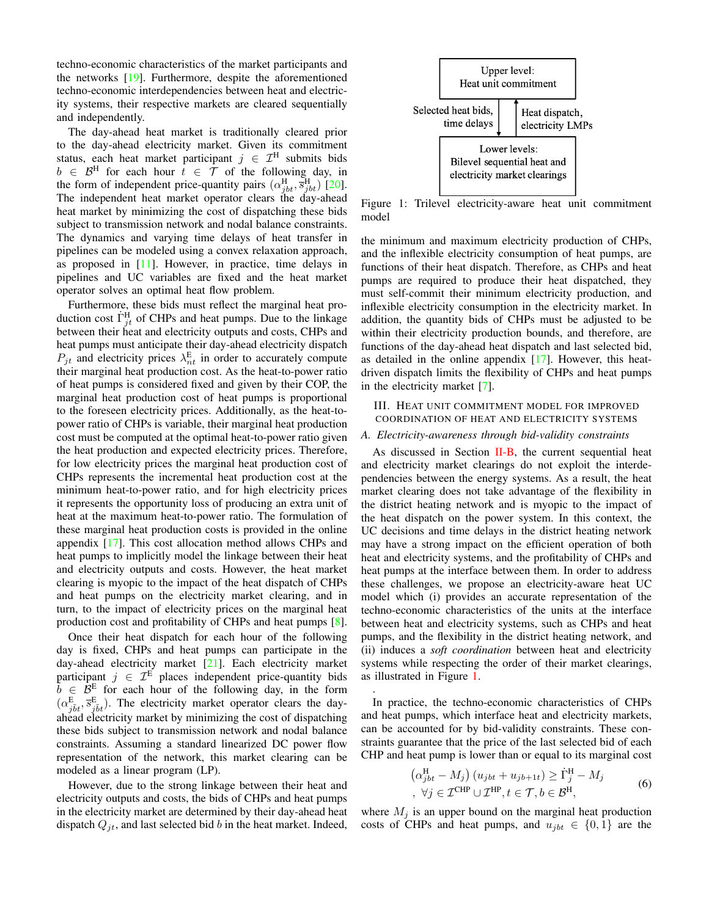techno-economic characteristics of the market participants and the networks [\[19\]](#page-6-18). Furthermore, despite the aforementioned techno-economic interdependencies between heat and electricity systems, their respective markets are cleared sequentially and independently.

The day-ahead heat market is traditionally cleared prior to the day-ahead electricity market. Given its commitment status, each heat market participant  $j \in \mathcal{I}^H$  submits bids  $b \in \mathcal{B}^H$  for each hour  $\tilde{t} \in \tilde{\mathcal{T}}$  of the following day, in the form of independent price-quantity pairs  $(\alpha_{jbt}^{\text{H}}, \overline{s}_{jbt}^{\text{H}})$  [\[20\]](#page-6-19). The independent heat market operator clears the day-ahead heat market by minimizing the cost of dispatching these bids subject to transmission network and nodal balance constraints. The dynamics and varying time delays of heat transfer in pipelines can be modeled using a convex relaxation approach, as proposed in [\[11\]](#page-6-10). However, in practice, time delays in pipelines and UC variables are fixed and the heat market operator solves an optimal heat flow problem.

Furthermore, these bids must reflect the marginal heat production cost  $\dot{\Gamma}_{jt}^{\text{H}}$  of CHPs and heat pumps. Due to the linkage between their heat and electricity outputs and costs, CHPs and heat pumps must anticipate their day-ahead electricity dispatch  $P_{jt}$  and electricity prices  $\lambda_{nt}^{\text{E}}$  in order to accurately compute their marginal heat production cost. As the heat-to-power ratio of heat pumps is considered fixed and given by their COP, the marginal heat production cost of heat pumps is proportional to the foreseen electricity prices. Additionally, as the heat-topower ratio of CHPs is variable, their marginal heat production cost must be computed at the optimal heat-to-power ratio given the heat production and expected electricity prices. Therefore, for low electricity prices the marginal heat production cost of CHPs represents the incremental heat production cost at the minimum heat-to-power ratio, and for high electricity prices it represents the opportunity loss of producing an extra unit of heat at the maximum heat-to-power ratio. The formulation of these marginal heat production costs is provided in the online appendix [\[17\]](#page-6-16). This cost allocation method allows CHPs and heat pumps to implicitly model the linkage between their heat and electricity outputs and costs. However, the heat market clearing is myopic to the impact of the heat dispatch of CHPs and heat pumps on the electricity market clearing, and in turn, to the impact of electricity prices on the marginal heat production cost and profitability of CHPs and heat pumps [\[8\]](#page-6-7).

Once their heat dispatch for each hour of the following day is fixed, CHPs and heat pumps can participate in the day-ahead electricity market [\[21\]](#page-6-20). Each electricity market participant  $j \in \mathcal{I}^E$  places independent price-quantity bids  $\tilde{b} \in \tilde{\mathcal{B}}^{\text{E}}$  for each hour of the following day, in the form  $(\alpha_{\tilde{j}\tilde{b}t}^{\text{E}}, \overline{s}_{\tilde{j}\tilde{b}t}^{\text{E}})$ . The electricity market operator clears the dayahead electricity market by minimizing the cost of dispatching these bids subject to transmission network and nodal balance constraints. Assuming a standard linearized DC power flow representation of the network, this market clearing can be modeled as a linear program (LP).

However, due to the strong linkage between their heat and electricity outputs and costs, the bids of CHPs and heat pumps in the electricity market are determined by their day-ahead heat dispatch  $Q_{jt}$ , and last selected bid b in the heat market. Indeed,

<span id="page-2-1"></span>

Figure 1: Trilevel electricity-aware heat unit commitment model

the minimum and maximum electricity production of CHPs, and the inflexible electricity consumption of heat pumps, are functions of their heat dispatch. Therefore, as CHPs and heat pumps are required to produce their heat dispatched, they must self-commit their minimum electricity production, and inflexible electricity consumption in the electricity market. In addition, the quantity bids of CHPs must be adjusted to be within their electricity production bounds, and therefore, are functions of the day-ahead heat dispatch and last selected bid, as detailed in the online appendix [\[17\]](#page-6-16). However, this heatdriven dispatch limits the flexibility of CHPs and heat pumps in the electricity market [\[7\]](#page-6-6).

<span id="page-2-0"></span>III. HEAT UNIT COMMITMENT MODEL FOR IMPROVED COORDINATION OF HEAT AND ELECTRICITY SYSTEMS

#### *A. Electricity-awareness through bid-validity constraints*

As discussed in Section [II-B,](#page-1-3) the current sequential heat and electricity market clearings do not exploit the interdependencies between the energy systems. As a result, the heat market clearing does not take advantage of the flexibility in the district heating network and is myopic to the impact of the heat dispatch on the power system. In this context, the UC decisions and time delays in the district heating network may have a strong impact on the efficient operation of both heat and electricity systems, and the profitability of CHPs and heat pumps at the interface between them. In order to address these challenges, we propose an electricity-aware heat UC model which (i) provides an accurate representation of the techno-economic characteristics of the units at the interface between heat and electricity systems, such as CHPs and heat pumps, and the flexibility in the district heating network, and (ii) induces a *soft coordination* between heat and electricity systems while respecting the order of their market clearings, as illustrated in Figure [1.](#page-2-1)

In practice, the techno-economic characteristics of CHPs and heat pumps, which interface heat and electricity markets, can be accounted for by bid-validity constraints. These constraints guarantee that the price of the last selected bid of each CHP and heat pump is lower than or equal to its marginal cost

.

$$
\left(\alpha_{jbt}^{\text{H}} - M_j\right) \left(u_{jbt} + u_{jb+1t}\right) \ge \dot{\Gamma}_j^{\text{H}} - M_j
$$
\n
$$
\forall j \in \mathcal{I}^{\text{CHP}} \cup \mathcal{I}^{\text{HP}}, t \in \mathcal{T}, b \in \mathcal{B}^{\text{H}},
$$
\n(6)

<span id="page-2-2"></span>where  $M_j$  is an upper bound on the marginal heat production costs of CHPs and heat pumps, and  $u_{jbt} \in \{0, 1\}$  are the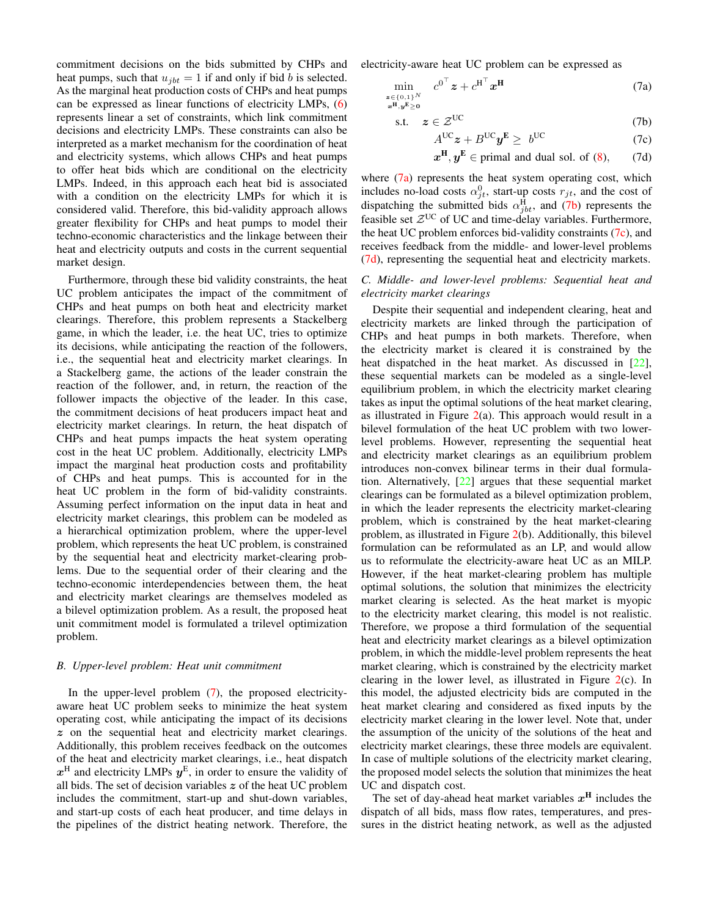commitment decisions on the bids submitted by CHPs and heat pumps, such that  $u_{ibt} = 1$  if and only if bid b is selected. As the marginal heat production costs of CHPs and heat pumps can be expressed as linear functions of electricity LMPs, [\(6\)](#page-2-2) represents linear a set of constraints, which link commitment decisions and electricity LMPs. These constraints can also be interpreted as a market mechanism for the coordination of heat and electricity systems, which allows CHPs and heat pumps to offer heat bids which are conditional on the electricity LMPs. Indeed, in this approach each heat bid is associated with a condition on the electricity LMPs for which it is considered valid. Therefore, this bid-validity approach allows greater flexibility for CHPs and heat pumps to model their techno-economic characteristics and the linkage between their heat and electricity outputs and costs in the current sequential market design.

Furthermore, through these bid validity constraints, the heat UC problem anticipates the impact of the commitment of CHPs and heat pumps on both heat and electricity market clearings. Therefore, this problem represents a Stackelberg game, in which the leader, i.e. the heat UC, tries to optimize its decisions, while anticipating the reaction of the followers, i.e., the sequential heat and electricity market clearings. In a Stackelberg game, the actions of the leader constrain the reaction of the follower, and, in return, the reaction of the follower impacts the objective of the leader. In this case, the commitment decisions of heat producers impact heat and electricity market clearings. In return, the heat dispatch of CHPs and heat pumps impacts the heat system operating cost in the heat UC problem. Additionally, electricity LMPs impact the marginal heat production costs and profitability of CHPs and heat pumps. This is accounted for in the heat UC problem in the form of bid-validity constraints. Assuming perfect information on the input data in heat and electricity market clearings, this problem can be modeled as a hierarchical optimization problem, where the upper-level problem, which represents the heat UC problem, is constrained by the sequential heat and electricity market-clearing problems. Due to the sequential order of their clearing and the techno-economic interdependencies between them, the heat and electricity market clearings are themselves modeled as a bilevel optimization problem. As a result, the proposed heat unit commitment model is formulated a trilevel optimization problem.

### *B. Upper-level problem: Heat unit commitment*

In the upper-level problem [\(7\)](#page-3-0), the proposed electricityaware heat UC problem seeks to minimize the heat system operating cost, while anticipating the impact of its decisions z on the sequential heat and electricity market clearings. Additionally, this problem receives feedback on the outcomes of the heat and electricity market clearings, i.e., heat dispatch  $x^{\text{H}}$  and electricity LMPs  $y^{\text{E}}$ , in order to ensure the validity of all bids. The set of decision variables  $z$  of the heat UC problem includes the commitment, start-up and shut-down variables, and start-up costs of each heat producer, and time delays in the pipelines of the district heating network. Therefore, the electricity-aware heat UC problem can be expressed as

$$
\min_{\substack{\mathbf{z}\in\{0,1\}^N\\ \mathbf{x}^{\mathbf{H}}, \mathbf{y}^{\mathbf{E}}\geq \mathbf{0}}} c^{\mathbf{0}^{\top}}\mathbf{z} + c^{\mathbf{H}^{\top}}\mathbf{x}^{\mathbf{H}}
$$
\n(7a)

$$
s.t. \quad z \in \mathcal{Z}^{UC} \tag{7b}
$$

<span id="page-3-0"></span>
$$
A^{UC}z + B^{UC}y^{E} \geq b^{UC} \tag{7c}
$$

<span id="page-3-4"></span><span id="page-3-3"></span><span id="page-3-2"></span><span id="page-3-1"></span>
$$
x^H, y^E \in
$$
 primal and dual sol. of (8), (7d)

where [\(7a\)](#page-3-1) represents the heat system operating cost, which includes no-load costs  $\alpha_{jt}^0$ , start-up costs  $r_{jt}$ , and the cost of dispatching the submitted bids  $\alpha_{jbt}^{\text{H}}$ , and [\(7b\)](#page-3-2) represents the feasible set  $Z^{UC}$  of UC and time-delay variables. Furthermore, the heat UC problem enforces bid-validity constraints  $(7c)$ , and receives feedback from the middle- and lower-level problems [\(7d\)](#page-3-4), representing the sequential heat and electricity markets.

## *C. Middle- and lower-level problems: Sequential heat and electricity market clearings*

Despite their sequential and independent clearing, heat and electricity markets are linked through the participation of CHPs and heat pumps in both markets. Therefore, when the electricity market is cleared it is constrained by the heat dispatched in the heat market. As discussed in [\[22\]](#page-6-21), these sequential markets can be modeled as a single-level equilibrium problem, in which the electricity market clearing takes as input the optimal solutions of the heat market clearing, as illustrated in Figure  $2(a)$  $2(a)$ . This approach would result in a bilevel formulation of the heat UC problem with two lowerlevel problems. However, representing the sequential heat and electricity market clearings as an equilibrium problem introduces non-convex bilinear terms in their dual formulation. Alternatively, [\[22\]](#page-6-21) argues that these sequential market clearings can be formulated as a bilevel optimization problem, in which the leader represents the electricity market-clearing problem, which is constrained by the heat market-clearing problem, as illustrated in Figure [2\(](#page-4-2)b). Additionally, this bilevel formulation can be reformulated as an LP, and would allow us to reformulate the electricity-aware heat UC as an MILP. However, if the heat market-clearing problem has multiple optimal solutions, the solution that minimizes the electricity market clearing is selected. As the heat market is myopic to the electricity market clearing, this model is not realistic. Therefore, we propose a third formulation of the sequential heat and electricity market clearings as a bilevel optimization problem, in which the middle-level problem represents the heat market clearing, which is constrained by the electricity market clearing in the lower level, as illustrated in Figure  $2(c)$  $2(c)$ . In this model, the adjusted electricity bids are computed in the heat market clearing and considered as fixed inputs by the electricity market clearing in the lower level. Note that, under the assumption of the unicity of the solutions of the heat and electricity market clearings, these three models are equivalent. In case of multiple solutions of the electricity market clearing, the proposed model selects the solution that minimizes the heat UC and dispatch cost.

The set of day-ahead heat market variables  $x^H$  includes the dispatch of all bids, mass flow rates, temperatures, and pressures in the district heating network, as well as the adjusted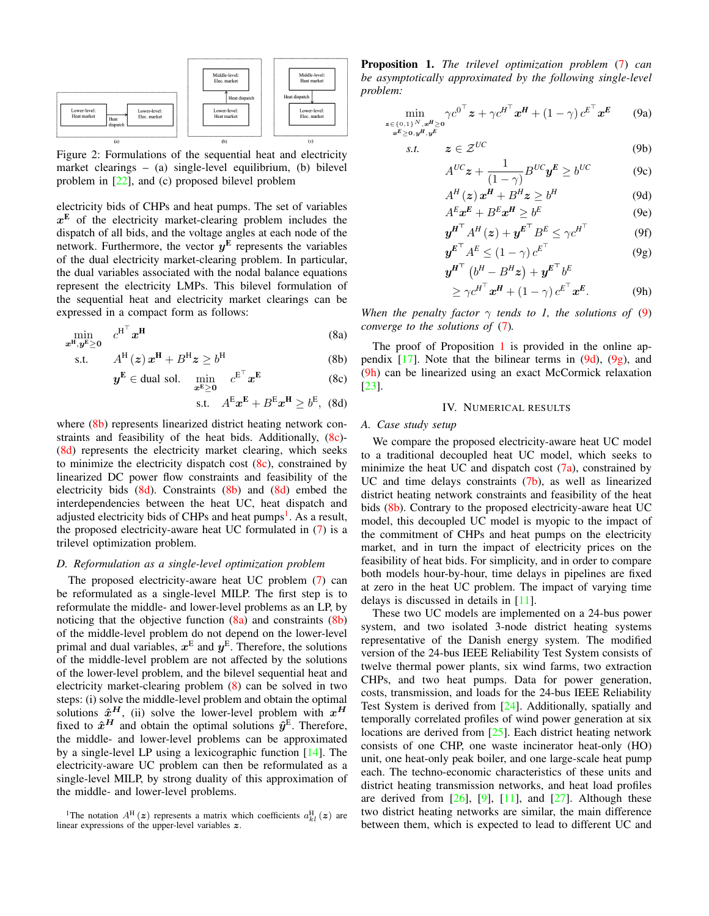<span id="page-4-2"></span>

Figure 2: Formulations of the sequential heat and electricity market clearings – (a) single-level equilibrium, (b) bilevel problem in [\[22\]](#page-6-21), and (c) proposed bilevel problem

electricity bids of CHPs and heat pumps. The set of variables  $x<sup>E</sup>$  of the electricity market-clearing problem includes the dispatch of all bids, and the voltage angles at each node of the network. Furthermore, the vector  $y^{\text{E}}$  represents the variables of the dual electricity market-clearing problem. In particular, the dual variables associated with the nodal balance equations represent the electricity LMPs. This bilevel formulation of the sequential heat and electricity market clearings can be expressed in a compact form as follows:

$$
\min_{\mathbf{x}^{\mathbf{H}}, \mathbf{y}^{\mathbf{E}} \ge \mathbf{0}} \quad c^{\mathbf{H}^{\top}} \mathbf{x}^{\mathbf{H}} \tag{8a}
$$

s.t.  $A^{\mathrm{H}}(z) x^{\mathrm{H}} + B^{\mathrm{H}} z \geq b^{\mathrm{H}}$ (8b)

$$
\boldsymbol{y}^{\mathbf{E}} \in \text{dual sol.} \quad \min_{\boldsymbol{x}^{\mathbf{E}} \geq 0} \quad c^{\mathbf{E}^{\top}} \boldsymbol{x}^{\mathbf{E}} \tag{8c}
$$

$$
\text{s.t.} \quad A^{\mathbf{E}} \mathbf{x}^{\mathbf{E}} + B^{\mathbf{E}} \mathbf{x}^{\mathbf{H}} \ge b^{\mathbf{E}}, \tag{8d}
$$

where [\(8b\)](#page-4-3) represents linearized district heating network constraints and feasibility of the heat bids. Additionally, [\(8c\)](#page-4-4)- [\(8d\)](#page-4-5) represents the electricity market clearing, which seeks to minimize the electricity dispatch cost  $(8c)$ , constrained by linearized DC power flow constraints and feasibility of the electricity bids  $(8d)$ . Constraints  $(8b)$  and  $(8d)$  embed the interdependencies between the heat UC, heat dispatch and adjusted electricity bids of CHPs and heat pumps<sup>[1](#page-4-6)</sup>. As a result, the proposed electricity-aware heat UC formulated in [\(7\)](#page-3-0) is a trilevel optimization problem.

#### *D. Reformulation as a single-level optimization problem*

The proposed electricity-aware heat UC problem [\(7\)](#page-3-0) can be reformulated as a single-level MILP. The first step is to reformulate the middle- and lower-level problems as an LP, by noticing that the objective function  $(8a)$  and constraints  $(8b)$ of the middle-level problem do not depend on the lower-level primal and dual variables,  $x^E$  and  $y^E$ . Therefore, the solutions of the middle-level problem are not affected by the solutions of the lower-level problem, and the bilevel sequential heat and electricity market-clearing problem [\(8\)](#page-4-1) can be solved in two steps: (i) solve the middle-level problem and obtain the optimal solutions  $\hat{x}^H$ , (ii) solve the lower-level problem with  $x^H$ fixed to  $\hat{x}^H$  and obtain the optimal solutions  $\hat{y}^E$ . Therefore, the middle- and lower-level problems can be approximated by a single-level LP using a lexicographic function [\[14\]](#page-6-13). The electricity-aware UC problem can then be reformulated as a single-level MILP, by strong duality of this approximation of the middle- and lower-level problems.

<span id="page-4-9"></span>Proposition 1. *The trilevel optimization problem* [\(7\)](#page-3-0) *can be asymptotically approximated by the following single-level problem:*

<span id="page-4-8"></span>
$$
\min_{\substack{\mathbf{z}\in\{0,1\}^N,\mathbf{x}^H\geq 0\\ \mathbf{x}^E\geq 0,\mathbf{y}^H,\mathbf{y}^E}} \gamma c^{0^{\top}} \mathbf{z} + \gamma c^{H^{\top}} \mathbf{x}^H + (1-\gamma) c^{E^{\top}} \mathbf{x}^E
$$
 (9a)

$$
s.t. \t z \in \mathcal{Z}^{UC} \t (9b)
$$

$$
A^{UC}z + \frac{1}{(1-\gamma)}B^{UC}y^E \ge b^{UC}
$$
 (9c)

<span id="page-4-10"></span>
$$
A^{H}(z) x^{H} + B^{H} z \geq b^{H}
$$
 (9d)  

$$
A^{E} x^{E} + B^{E} x^{H} \geq b^{E}
$$
 (9e)

$$
y^{H^{\top}} A^{H}(z) + y^{E^{\top}} B^{E} \leq \gamma c^{H^{\top}}
$$
 (9f)

$$
\mathbf{y}^{E^{\top}} A^{E} \le (1 - \gamma) c^{E^{\top}} \tag{9g}
$$
\n
$$
\mathbf{y}^{H^{\top}} (b^{H} - B^{H} \mathbf{x}) + \mathbf{y}^{E^{\top}} b^{E^{\top}} \tag{9g}
$$

<span id="page-4-12"></span><span id="page-4-11"></span>
$$
\mathbf{y}^{\mathbf{H}^{\top}}\left(b^{\mathbf{H}} - B^{\mathbf{H}}\mathbf{z}\right) + \mathbf{y}^{\mathbf{E}^{\top}}b^{\mathbf{E}} \\
\geq \gamma c^{\mathbf{H}^{\top}}\mathbf{x}^{\mathbf{H}} + (1 - \gamma) c^{\mathbf{E}^{\top}}\mathbf{x}^{\mathbf{E}}.\n\tag{9h}
$$

<span id="page-4-7"></span><span id="page-4-1"></span>*When the penalty factor*  $\gamma$  *tends to 1, the solutions of* [\(9\)](#page-4-8) *converge to the solutions of* [\(7\)](#page-3-0)*.*

<span id="page-4-4"></span><span id="page-4-3"></span>The proof of Proposition [1](#page-4-9) is provided in the online appendix  $[17]$ . Note that the bilinear terms in  $(9d)$ ,  $(9g)$ , and [\(9h\)](#page-4-12) can be linearized using an exact McCormick relaxation [\[23\]](#page-6-22).

#### IV. NUMERICAL RESULTS

#### <span id="page-4-5"></span><span id="page-4-0"></span>*A. Case study setup*

We compare the proposed electricity-aware heat UC model to a traditional decoupled heat UC model, which seeks to minimize the heat UC and dispatch cost  $(7a)$ , constrained by UC and time delays constraints  $(7b)$ , as well as linearized district heating network constraints and feasibility of the heat bids [\(8b\)](#page-4-3). Contrary to the proposed electricity-aware heat UC model, this decoupled UC model is myopic to the impact of the commitment of CHPs and heat pumps on the electricity market, and in turn the impact of electricity prices on the feasibility of heat bids. For simplicity, and in order to compare both models hour-by-hour, time delays in pipelines are fixed at zero in the heat UC problem. The impact of varying time delays is discussed in details in [\[11\]](#page-6-10).

These two UC models are implemented on a 24-bus power system, and two isolated 3-node district heating systems representative of the Danish energy system. The modified version of the 24-bus IEEE Reliability Test System consists of twelve thermal power plants, six wind farms, two extraction CHPs, and two heat pumps. Data for power generation, costs, transmission, and loads for the 24-bus IEEE Reliability Test System is derived from [\[24\]](#page-6-23). Additionally, spatially and temporally correlated profiles of wind power generation at six locations are derived from [\[25\]](#page-6-24). Each district heating network consists of one CHP, one waste incinerator heat-only (HO) unit, one heat-only peak boiler, and one large-scale heat pump each. The techno-economic characteristics of these units and district heating transmission networks, and heat load profiles are derived from  $[26]$ ,  $[9]$ ,  $[11]$ , and  $[27]$ . Although these two district heating networks are similar, the main difference between them, which is expected to lead to different UC and

<span id="page-4-6"></span><sup>&</sup>lt;sup>1</sup>The notation  $A^H(z)$  represents a matrix which coefficients  $a_{kl}^H(z)$  are linear expressions of the upper-level variables z.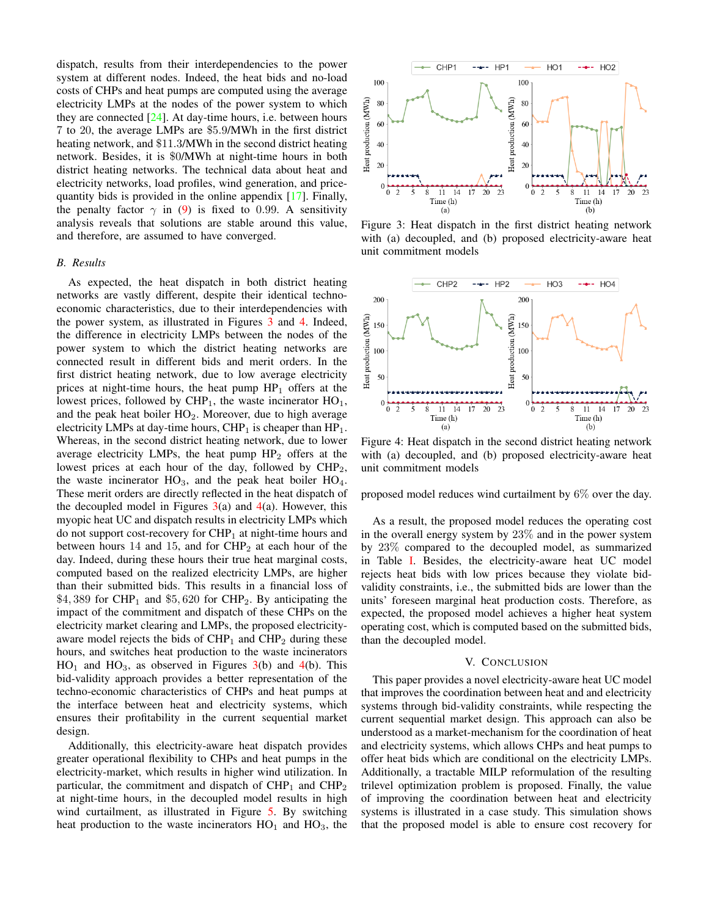dispatch, results from their interdependencies to the power system at different nodes. Indeed, the heat bids and no-load costs of CHPs and heat pumps are computed using the average electricity LMPs at the nodes of the power system to which they are connected  $[24]$ . At day-time hours, i.e. between hours 7 to 20, the average LMPs are \$5.9/MWh in the first district heating network, and \$11.3/MWh in the second district heating network. Besides, it is \$0/MWh at night-time hours in both district heating networks. The technical data about heat and electricity networks, load profiles, wind generation, and pricequantity bids is provided in the online appendix [\[17\]](#page-6-16). Finally, the penalty factor  $\gamma$  in [\(9\)](#page-4-8) is fixed to 0.99. A sensitivity analysis reveals that solutions are stable around this value, and therefore, are assumed to have converged.

### *B. Results*

As expected, the heat dispatch in both district heating networks are vastly different, despite their identical technoeconomic characteristics, due to their interdependencies with the power system, as illustrated in Figures [3](#page-5-1) and [4.](#page-5-2) Indeed, the difference in electricity LMPs between the nodes of the power system to which the district heating networks are connected result in different bids and merit orders. In the first district heating network, due to low average electricity prices at night-time hours, the heat pump  $HP_1$  offers at the lowest prices, followed by  $CHP_1$ , the waste incinerator  $HO_1$ , and the peak heat boiler  $HO<sub>2</sub>$ . Moreover, due to high average electricity LMPs at day-time hours,  $CHP<sub>1</sub>$  is cheaper than  $HP<sub>1</sub>$ . Whereas, in the second district heating network, due to lower average electricity LMPs, the heat pump  $HP_2$  offers at the lowest prices at each hour of the day, followed by  $CHP<sub>2</sub>$ , the waste incinerator  $HO_3$ , and the peak heat boiler  $HO_4$ . These merit orders are directly reflected in the heat dispatch of the decoupled model in Figures  $3(a)$  $3(a)$  and  $4(a)$  $4(a)$ . However, this myopic heat UC and dispatch results in electricity LMPs which do not support cost-recovery for  $CHP<sub>1</sub>$  at night-time hours and between hours 14 and 15, and for  $CHP<sub>2</sub>$  at each hour of the day. Indeed, during these hours their true heat marginal costs, computed based on the realized electricity LMPs, are higher than their submitted bids. This results in a financial loss of \$4,389 for CHP<sub>1</sub> and \$5,620 for CHP<sub>2</sub>. By anticipating the impact of the commitment and dispatch of these CHPs on the electricity market clearing and LMPs, the proposed electricityaware model rejects the bids of  $CHP<sub>1</sub>$  and  $CHP<sub>2</sub>$  during these hours, and switches heat production to the waste incinerators  $HO_1$  and  $HO_3$ , as observed in Figures [3\(](#page-5-1)b) and [4\(](#page-5-2)b). This bid-validity approach provides a better representation of the techno-economic characteristics of CHPs and heat pumps at the interface between heat and electricity systems, which ensures their profitability in the current sequential market design.

Additionally, this electricity-aware heat dispatch provides greater operational flexibility to CHPs and heat pumps in the electricity-market, which results in higher wind utilization. In particular, the commitment and dispatch of  $CHP<sub>1</sub>$  and  $CHP<sub>2</sub>$ at night-time hours, in the decoupled model results in high wind curtailment, as illustrated in Figure [5.](#page-6-27) By switching heat production to the waste incinerators  $HO_1$  and  $HO_3$ , the

<span id="page-5-1"></span>

Figure 3: Heat dispatch in the first district heating network with (a) decoupled, and (b) proposed electricity-aware heat unit commitment models

<span id="page-5-2"></span>

Figure 4: Heat dispatch in the second district heating network with (a) decoupled, and (b) proposed electricity-aware heat unit commitment models

proposed model reduces wind curtailment by 6% over the day.

As a result, the proposed model reduces the operating cost in the overall energy system by 23% and in the power system by 23% compared to the decoupled model, as summarized in Table [I.](#page-6-28) Besides, the electricity-aware heat UC model rejects heat bids with low prices because they violate bidvalidity constraints, i.e., the submitted bids are lower than the units' foreseen marginal heat production costs. Therefore, as expected, the proposed model achieves a higher heat system operating cost, which is computed based on the submitted bids, than the decoupled model.

### V. CONCLUSION

<span id="page-5-0"></span>This paper provides a novel electricity-aware heat UC model that improves the coordination between heat and and electricity systems through bid-validity constraints, while respecting the current sequential market design. This approach can also be understood as a market-mechanism for the coordination of heat and electricity systems, which allows CHPs and heat pumps to offer heat bids which are conditional on the electricity LMPs. Additionally, a tractable MILP reformulation of the resulting trilevel optimization problem is proposed. Finally, the value of improving the coordination between heat and electricity systems is illustrated in a case study. This simulation shows that the proposed model is able to ensure cost recovery for